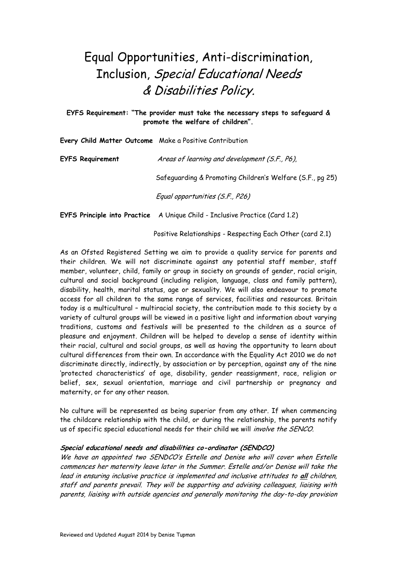## Equal Opportunities, Anti-discrimination, Inclusion, Special Educational Needs & Disabilities Policy.

**EYFS Requirement: "The provider must take the necessary steps to safeguard & promote the welfare of children".**

**Every Child Matter Outcome** Make a Positive Contribution

| <b>EYFS Requirement</b> | Areas of learning and development (S.F., P6),             |
|-------------------------|-----------------------------------------------------------|
|                         | Safeguarding & Promoting Children's Welfare (S.F., pg 25) |
|                         | Equal opportunities (S.F., P26)                           |

**EYFS Principle into Practice** A Unique Child - Inclusive Practice (Card 1.2)

Positive Relationships - Respecting Each Other (card 2.1)

As an Ofsted Registered Setting we aim to provide a quality service for parents and their children. We will not discriminate against any potential staff member, staff member, volunteer, child, family or group in society on grounds of gender, racial origin, cultural and social background (including religion, language, class and family pattern), disability, health, marital status, age or sexuality. We will also endeavour to promote access for all children to the same range of services, facilities and resources. Britain today is a multicultural – multiracial society, the contribution made to this society by a variety of cultural groups will be viewed in a positive light and information about varying traditions, customs and festivals will be presented to the children as a source of pleasure and enjoyment. Children will be helped to develop a sense of identity within their racial, cultural and social groups, as well as having the opportunity to learn about cultural differences from their own. In accordance with the Equality Act 2010 we do not discriminate directly, indirectly, by association or by perception, against any of the nine 'protected characteristics' of age, disability, gender reassignment, race, religion or belief, sex, sexual orientation, marriage and civil partnership or pregnancy and maternity, or for any other reason.

No culture will be represented as being superior from any other. If when commencing the childcare relationship with the child, or during the relationship, the parents notify us of specific special educational needs for their child we will *involve the SENCO*.

## **Special educational needs and disabilities co-ordinator (SENDCO)**

We have an appointed two SENDCO's Estelle and Denise who will cover when Estelle commences her maternity leave later in the Summer. Estelle and/or Denise will take the lead in ensuring inclusive practice is implemented and inclusive attitudes to **all** children, staff and parents prevail. They will be supporting and advising colleagues, liaising with parents, liaising with outside agencies and generally monitoring the day-to-day provision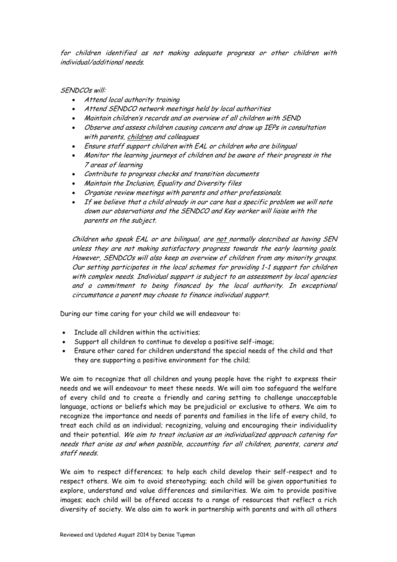for children identified as not making adequate progress or other children with individual/additional needs.

## SENDCOs will:

- Attend local authority training
- Attend SENDCO network meetings held by local authorities
- Maintain children's records and an overview of all children with SEND
- Observe and assess children causing concern and draw up IEPs in consultation with parents, children and colleagues
- Ensure staff support children with EAL or children who are bilingual
- Monitor the learning journeys of children and be aware of their progress in the 7 areas of learning
- Contribute to progress checks and transition documents
- Maintain the Inclusion, Equality and Diversity files
- Organise review meetings with parents and other professionals.
- If we believe that a child already in our care has a specific problem we will note down our observations and the SENDCO and Key worker will liaise with the parents on the subject.

Children who speak EAL or are bilingual, are not normally described as having SEN unless they are not making satisfactory progress towards the early learning goals. However, SENDCOs will also keep an overview of children from any minority groups. Our setting participates in the local schemes for providing 1-1 support for children with complex needs. Individual support is subject to an assessment by local agencies and a commitment to being financed by the local authority. In exceptional circumstance a parent may choose to finance individual support.

During our time caring for your child we will endeavour to:

- Include all children within the activities;
- Support all children to continue to develop a positive self-image;
- Ensure other cared for children understand the special needs of the child and that they are supporting a positive environment for the child;

We aim to recognize that all children and young people have the right to express their needs and we will endeavour to meet these needs. We will aim too safeguard the welfare of every child and to create a friendly and caring setting to challenge unacceptable language, actions or beliefs which may be prejudicial or exclusive to others. We aim to recognize the importance and needs of parents and families in the life of every child, to treat each child as an individual; recognizing, valuing and encouraging their individuality and their potential. We aim to treat inclusion as an individualized approach catering for needs that arise as and when possible, accounting for all children, parents, carers and staff needs.

We aim to respect differences; to help each child develop their self-respect and to respect others. We aim to avoid stereotyping; each child will be given opportunities to explore, understand and value differences and similarities. We aim to provide positive images; each child will be offered access to a range of resources that reflect a rich diversity of society. We also aim to work in partnership with parents and with all others